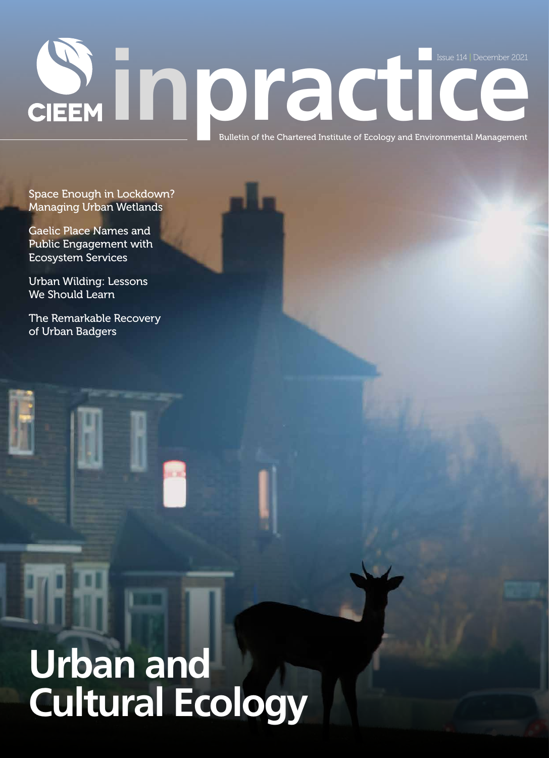# **issue 114 | December 2021**<br> **issue 114 | December 2021**<br> **Bulletin of the Chartered Institute of Ecology and Environmental Management** Issue 114 | December 2021

Space Enough in Lockdown? Managing Urban Wetlands

Gaelic Place Names and Public Engagement with Ecosystem Services

Urban Wilding: Lessons We Should Learn

The Remarkable Recovery of Urban Badgers

## **Urban and Cultural Ecology**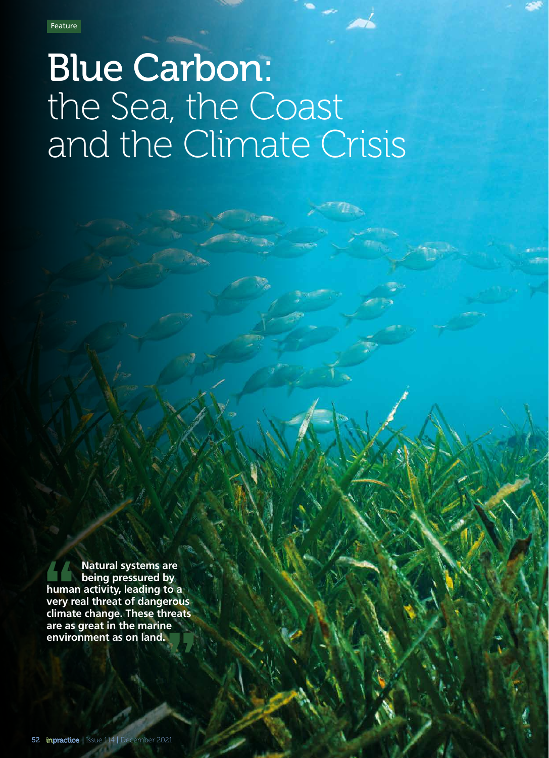### Blue Carbon: the Sea, the Coast and the Climate Crisis

 **Natural systems are being pressured by human activity, leading to a very real threat of dangerous climate change. These threats are as great in the marine AMA**<br> **huma**<br> **very r**<br> **dimat**<br> **are as<br>
enviro environment as on land.**<br> **environment as on land.**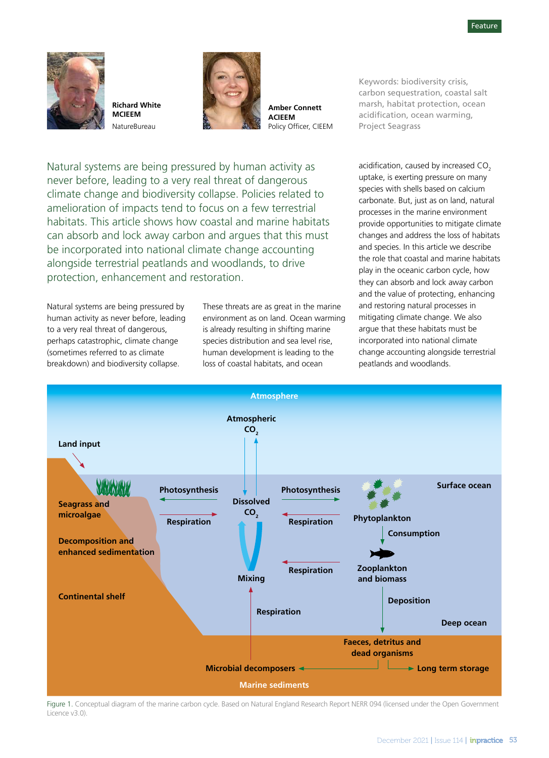

**Richard White MCIEEM** NatureBureau



**Amber Connett ACIEEM**  Policy Officer, CIEEM

Keywords: biodiversity crisis, carbon sequestration, coastal salt marsh, habitat protection, ocean acidification, ocean warming, Project Seagrass

Natural systems are being pressured by human activity as never before, leading to a very real threat of dangerous climate change and biodiversity collapse. Policies related to amelioration of impacts tend to focus on a few terrestrial habitats. This article shows how coastal and marine habitats can absorb and lock away carbon and argues that this must be incorporated into national climate change accounting alongside terrestrial peatlands and woodlands, to drive protection, enhancement and restoration.

Natural systems are being pressured by human activity as never before, leading to a very real threat of dangerous, perhaps catastrophic, climate change (sometimes referred to as climate breakdown) and biodiversity collapse.

These threats are as great in the marine environment as on land. Ocean warming is already resulting in shifting marine species distribution and sea level rise, human development is leading to the loss of coastal habitats, and ocean

acidification, caused by increased  $CO<sub>2</sub>$ uptake, is exerting pressure on many species with shells based on calcium carbonate. But, just as on land, natural processes in the marine environment provide opportunities to mitigate climate changes and address the loss of habitats and species. In this article we describe the role that coastal and marine habitats play in the oceanic carbon cycle, how they can absorb and lock away carbon and the value of protecting, enhancing and restoring natural processes in mitigating climate change. We also argue that these habitats must be incorporated into national climate change accounting alongside terrestrial peatlands and woodlands.



Figure 1. Conceptual diagram of the marine carbon cycle. Based on Natural England Research Report NERR 094 (licensed under the Open Government Licence v3.0)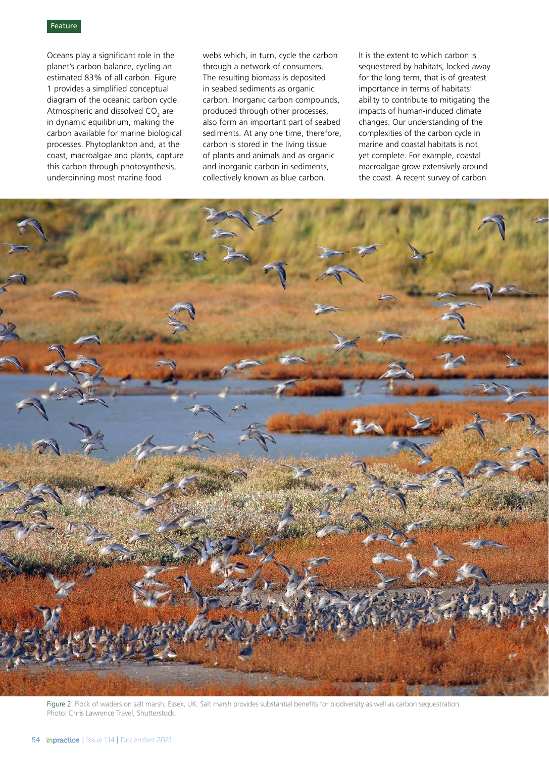Oceans play a significant role in the planet's carbon balance, cycling an estimated 83% of all carbon. Figure 1 provides a simplified conceptual diagram of the oceanic carbon cycle. Atmospheric and dissolved CO<sub>2</sub> are in dynamic equilibrium, making the carbon available for marine biological processes. Phytoplankton and, at the coast, macroalgae and plants, capture this carbon through photosynthesis, underpinning most marine food

webs which, in turn, cycle the carbon through a network of consumers. The resulting biomass is deposited in seabed sediments as organic carbon. Inorganic carbon compounds, produced through other processes, also form an important part of seabed sediments. At any one time, therefore, carbon is stored in the living tissue of plants and animals and as organic and inorganic carbon in sediments, collectively known as blue carbon.

It is the extent to which carbon is sequestered by habitats, locked away for the long term, that is of greatest importance in terms of habitats' ability to contribute to mitigating the impacts of human-induced climate changes. Our understanding of the complexities of the carbon cycle in marine and coastal habitats is not yet complete. For example, coastal macroalgae grow extensively around the coast. A recent survey of carbon



Figure 2. Flock of waders on salt marsh, Essex, UK. Salt marsh provides substantial benefits for biodiversity as well as carbon sequestration. Photo: Chris Lawrence Travel, Shutterstock.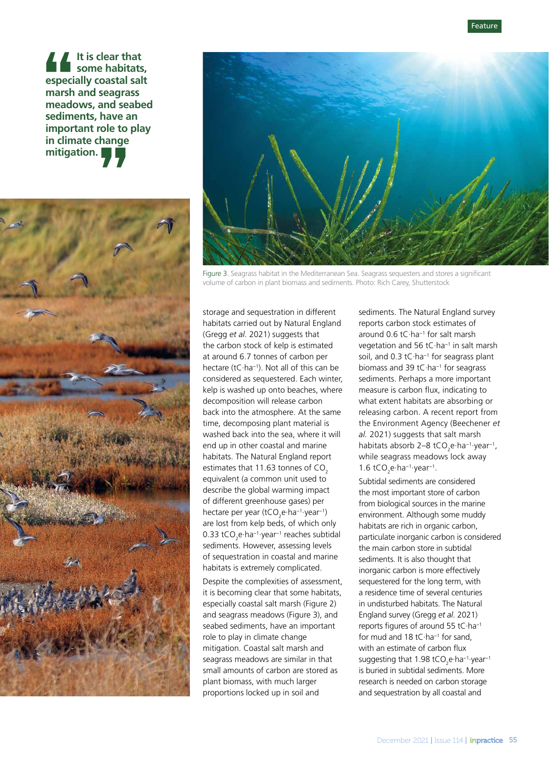**It is clear that some habitats, especially coastal salt marsh and seagrass meadows, and seabed sediments, have an important role to play in climate change mitigation.**  $\begin{array}{c}\n\bullet \\
\bullet \\
\text{especi} \\
\text{marsh} \\
\text{med} \\
\text{sedim} \\
\text{impor}\n\end{array}$ 





Figure 3. Seagrass habitat in the Mediterranean Sea. Seagrass sequesters and stores a significant volume of carbon in plant biomass and sediments. Photo: Rich Carey, Shutterstock

storage and sequestration in different habitats carried out by Natural England (Gregg *et al*. 2021) suggests that the carbon stock of kelp is estimated at around 6.7 tonnes of carbon per hectare (tC·ha−1). Not all of this can be considered as sequestered. Each winter, kelp is washed up onto beaches, where decomposition will release carbon back into the atmosphere. At the same time, decomposing plant material is washed back into the sea, where it will end up in other coastal and marine habitats. The Natural England report estimates that  $11.63$  tonnes of  $CO<sub>2</sub>$ equivalent (a common unit used to describe the global warming impact of different greenhouse gases) per hectare per year (tCO<sub>2</sub>e·ha<sup>-1</sup>·year<sup>-1</sup>) are lost from kelp beds, of which only 0.33 tCO<sub>2</sub>e·ha<sup>−1</sup>·year<sup>−1</sup> reaches subtidal sediments. However, assessing levels of sequestration in coastal and marine habitats is extremely complicated.

Despite the complexities of assessment, it is becoming clear that some habitats, especially coastal salt marsh (Figure 2) and seagrass meadows (Figure 3), and seabed sediments, have an important role to play in climate change mitigation. Coastal salt marsh and seagrass meadows are similar in that small amounts of carbon are stored as plant biomass, with much larger proportions locked up in soil and

sediments. The Natural England survey reports carbon stock estimates of around 0.6 tC·ha−1 for salt marsh vegetation and 56 tC·ha−1 in salt marsh soil, and 0.3 tC·ha<sup>-1</sup> for seagrass plant biomass and 39 tC·ha−1 for seagrass sediments. Perhaps a more important measure is carbon flux, indicating to what extent habitats are absorbing or releasing carbon. A recent report from the Environment Agency (Beechener *et al.* 2021) suggests that salt marsh habitats absorb 2–8 tCO<sub>2</sub>e·ha<sup>-1</sup>·year<sup>-1</sup>, while seagrass meadows lock away 1.6 tCO<sub>2</sub>e $\cdot$ ha<sup>-1</sup> $\cdot$ year<sup>-1</sup>.

Subtidal sediments are considered the most important store of carbon from biological sources in the marine environment. Although some muddy habitats are rich in organic carbon, particulate inorganic carbon is considered the main carbon store in subtidal sediments. It is also thought that inorganic carbon is more effectively sequestered for the long term, with a residence time of several centuries in undisturbed habitats. The Natural England survey (Gregg *et al*. 2021) reports figures of around 55 tC·ha−1 for mud and 18 tC·ha−1 for sand, with an estimate of carbon flux suggesting that 1.98 tCO<sub>2</sub>e·ha<sup>-1</sup>·year<sup>-1</sup> is buried in subtidal sediments. More research is needed on carbon storage and sequestration by all coastal and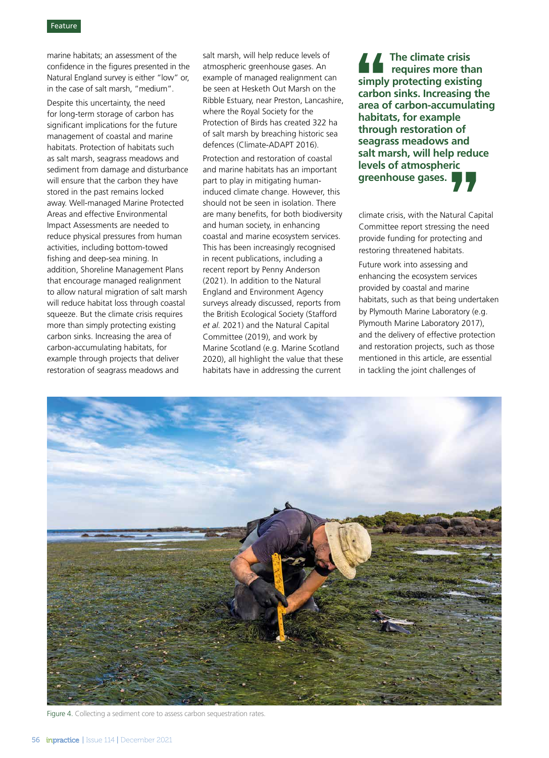### Feature

marine habitats; an assessment of the confidence in the figures presented in the Natural England survey is either "low" or, in the case of salt marsh, "medium".

Despite this uncertainty, the need for long-term storage of carbon has significant implications for the future management of coastal and marine habitats. Protection of habitats such as salt marsh, seagrass meadows and sediment from damage and disturbance will ensure that the carbon they have stored in the past remains locked away. Well-managed Marine Protected Areas and effective Environmental Impact Assessments are needed to reduce physical pressures from human activities, including bottom-towed fishing and deep-sea mining. In addition, Shoreline Management Plans that encourage managed realignment to allow natural migration of salt marsh will reduce habitat loss through coastal squeeze. But the climate crisis requires more than simply protecting existing carbon sinks. Increasing the area of carbon-accumulating habitats, for example through projects that deliver restoration of seagrass meadows and

salt marsh, will help reduce levels of atmospheric greenhouse gases. An example of managed realignment can be seen at Hesketh Out Marsh on the Ribble Estuary, near Preston, Lancashire, where the Royal Society for the Protection of Birds has created 322 ha of salt marsh by breaching historic sea defences (Climate-ADAPT 2016).

Protection and restoration of coastal and marine habitats has an important part to play in mitigating humaninduced climate change. However, this should not be seen in isolation. There are many benefits, for both biodiversity and human society, in enhancing coastal and marine ecosystem services. This has been increasingly recognised in recent publications, including a recent report by Penny Anderson (2021). In addition to the Natural England and Environment Agency surveys already discussed, reports from the British Ecological Society (Stafford *et al.* 2021) and the Natural Capital Committee (2019), and work by Marine Scotland (e.g. Marine Scotland 2020), all highlight the value that these habitats have in addressing the current

**The climate crisis requires more than simply protecting existing carbon sinks. Increasing the area of carbon-accumulating habitats, for example through restoration of seagrass meadows and salt marsh, will help reduce levels of atmospheric greenhouse gases.** A<br>
simply<br>
carbon<br>
area o<br>
habita<br>
throug

climate crisis, with the Natural Capital Committee report stressing the need provide funding for protecting and restoring threatened habitats. **The Contract Cap (Fig. 2)**<br>atural Cap of the networks<br>itats.

Future work into assessing and enhancing the ecosystem services provided by coastal and marine habitats, such as that being undertaken by Plymouth Marine Laboratory (e.g. Plymouth Marine Laboratory 2017), and the delivery of effective protection and restoration projects, such as those mentioned in this article, are essential in tackling the joint challenges of



Figure 4. Collecting a sediment core to assess carbon sequestration rates.